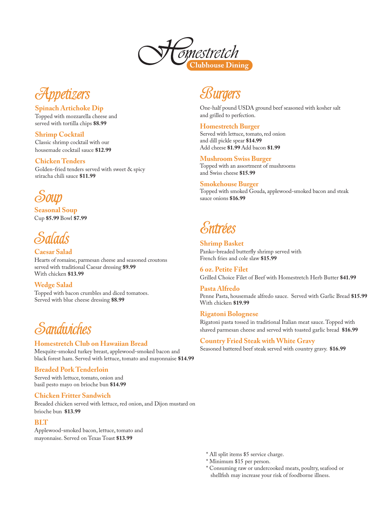



#### **Spinach Artichoke Dip**

Topped with mozzarella cheese and served with tortilla chips **\$8.99**

**Shrimp Cocktail** Classic shrimp cocktail with our housemade cocktail sauce **\$12.99**

#### **Chicken Tenders**

Golden-fried tenders served with sweet & spicy sriracha chili sauce **\$11.99**



**Seasonal Soup** Cup **\$5.99** Bowl **\$7.99**

**Caesar Salad** Hearts of romaine, parmesan cheese and seasoned croutons served with traditional Caesar dressing **\$9.99** With chicken **\$13.99**

**Wedge Salad** Topped with bacon crumbles and diced tomatoes. Served with blue cheese dressing **\$8.99**



### **Homestretch Club on Hawaiian Bread**

Mesquite-smoked turkey breast, applewood-smoked bacon and black forest ham. Served with lettuce, tomato and mayonnaise **\$14.99**

#### **Breaded Pork Tenderloin**

Served with lettuce, tomato, onion and basil pesto mayo on brioche bun **\$14.99**

#### **Chicken Fritter Sandwich**

Breaded chicken served with lettuce, red onion, and Dijon mustard on brioche bun **\$13.99**

### **BLT**

Applewood-smoked bacon, lettuce, tomato and mayonnaise. Served on Texas Toast **\$13.99**

Surgers

One-half pound USDA ground beef seasoned with kosher salt and grilled to perfection.

#### **Homestretch Burger**

Served with lettuce, tomato, red onion and dill pickle spear **\$14.99** Add cheese **\$1.99** Add bacon **\$1.99**

#### **Mushroom Swiss Burger**

Topped with an assortment of mushrooms and Swiss cheese **\$15.99**

#### **Smokehouse Burger**

Topped with smoked Gouda, applewood-smoked bacon and steak sauce onions **\$16.99**

# Entrées

**Shrimp Basket** Panko-breaded butterfly shrimp served with French fries and cole slaw **\$15.99**

**6 oz. Petite Filet**  Grilled Choice Filet of Beef with Homestretch Herb Butter **\$41.99**

**Pasta Alfredo** Penne Pasta, housemade alfredo sauce. Served with Garlic Bread **\$15.99**  With chicken **\$19.99**

#### **Rigatoni Bolognese**

Rigatoni pasta tossed in traditional Italian meat sauce. Topped with shaved parmesan cheese and served with toasted garlic bread **\$16.99**

### **Country Fried Steak with White Gravy**

Seasoned battered beef steak served with country gravy. **\$16.99**

- \* All split items \$5 service charge.
- \* Minimum \$15 per person.
- \* Consuming raw or undercooked meats, poultry, seafood or shellfish may increase your risk of foodborne illness.